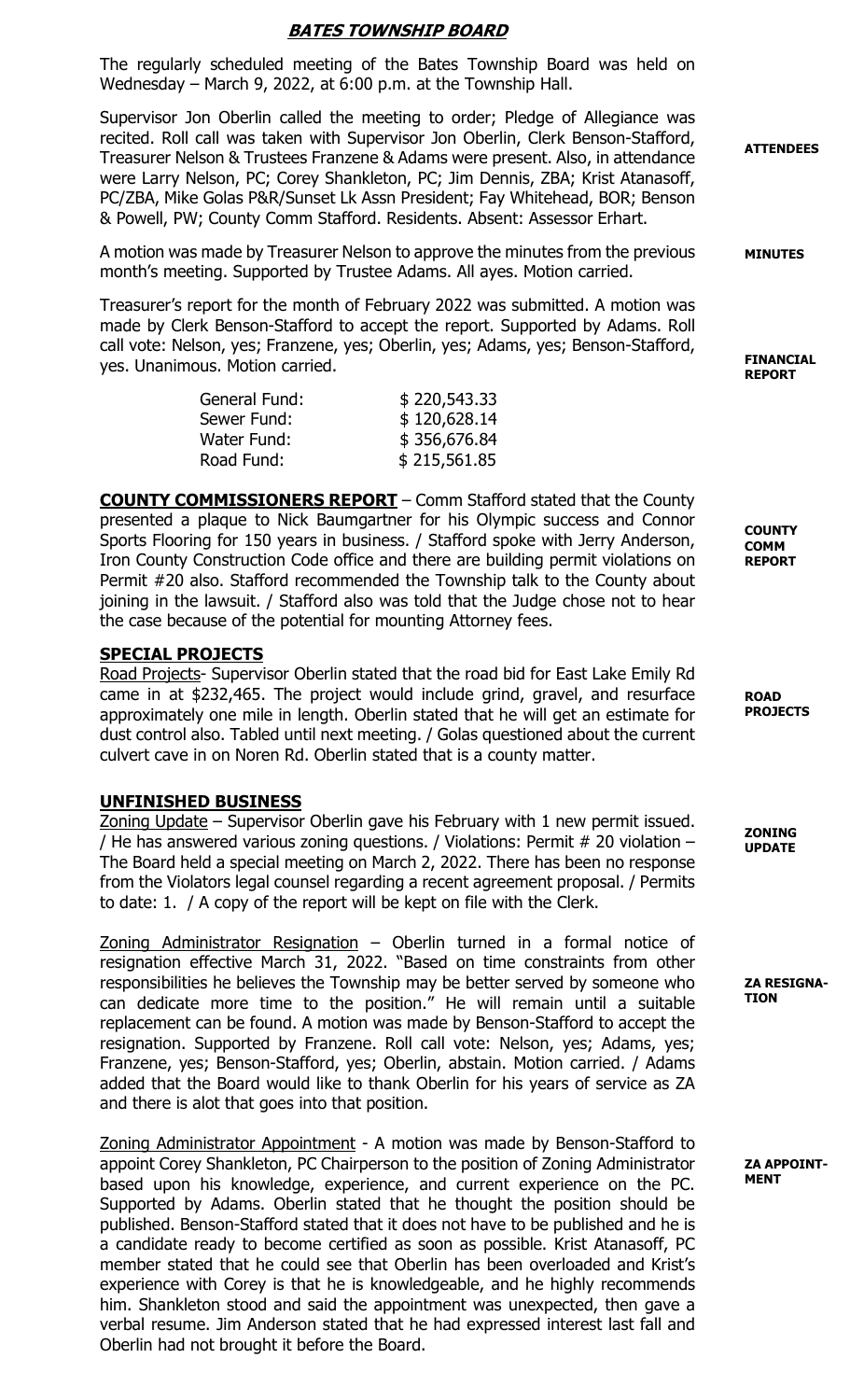# BATES TOWNSHIP BOARD

The regularly scheduled meeting of the Bates Township Board was held on Wednesday – March 9, 2022, at 6:00 p.m. at the Township Hall.

Supervisor Jon Oberlin called the meeting to order; Pledge of Allegiance was recited. Roll call was taken with Supervisor Jon Oberlin, Clerk Benson-Stafford, Treasurer Nelson & Trustees Franzene & Adams were present. Also, in attendance were Larry Nelson, PC; Corey Shankleton, PC; Jim Dennis, ZBA; Krist Atanasoff, PC/ZBA, Mike Golas P&R/Sunset Lk Assn President; Fay Whitehead, BOR; Benson & Powell, PW; County Comm Stafford. Residents. Absent: Assessor Erhart.

A motion was made by Treasurer Nelson to approve the minutes from the previous month's meeting. Supported by Trustee Adams. All ayes. Motion carried.

Treasurer's report for the month of February 2022 was submitted. A motion was made by Clerk Benson-Stafford to accept the report. Supported by Adams. Roll call vote: Nelson, yes; Franzene, yes; Oberlin, yes; Adams, yes; Benson-Stafford, yes. Unanimous. Motion carried.

| General Fund: | \$220,543.33 |
|---------------|--------------|
| Sewer Fund:   | \$120,628.14 |
| Water Fund:   | \$356,676.84 |
| Road Fund:    | \$215,561.85 |

COUNTY COMMISSIONERS REPORT – Comm Stafford stated that the County presented a plaque to Nick Baumgartner for his Olympic success and Connor Sports Flooring for 150 years in business. / Stafford spoke with Jerry Anderson, Iron County Construction Code office and there are building permit violations on Permit #20 also. Stafford recommended the Township talk to the County about joining in the lawsuit. / Stafford also was told that the Judge chose not to hear the case because of the potential for mounting Attorney fees.

#### SPECIAL PROJECTS

Road Projects- Supervisor Oberlin stated that the road bid for East Lake Emily Rd came in at \$232,465. The project would include grind, gravel, and resurface approximately one mile in length. Oberlin stated that he will get an estimate for dust control also. Tabled until next meeting. / Golas questioned about the current culvert cave in on Noren Rd. Oberlin stated that is a county matter.

#### UNFINISHED BUSINESS

Zoning Update – Supervisor Oberlin gave his February with 1 new permit issued. / He has answered various zoning questions. / Violations: Permit # 20 violation – The Board held a special meeting on March 2, 2022. There has been no response from the Violators legal counsel regarding a recent agreement proposal. / Permits to date: 1. / A copy of the report will be kept on file with the Clerk.

Zoning Administrator Resignation – Oberlin turned in a formal notice of resignation effective March 31, 2022. "Based on time constraints from other responsibilities he believes the Township may be better served by someone who can dedicate more time to the position." He will remain until a suitable replacement can be found. A motion was made by Benson-Stafford to accept the resignation. Supported by Franzene. Roll call vote: Nelson, yes; Adams, yes; Franzene, yes; Benson-Stafford, yes; Oberlin, abstain. Motion carried. / Adams added that the Board would like to thank Oberlin for his years of service as ZA and there is alot that goes into that position.

Zoning Administrator Appointment - A motion was made by Benson-Stafford to appoint Corey Shankleton, PC Chairperson to the position of Zoning Administrator based upon his knowledge, experience, and current experience on the PC. Supported by Adams. Oberlin stated that he thought the position should be published. Benson-Stafford stated that it does not have to be published and he is a candidate ready to become certified as soon as possible. Krist Atanasoff, PC member stated that he could see that Oberlin has been overloaded and Krist's experience with Corey is that he is knowledgeable, and he highly recommends him. Shankleton stood and said the appointment was unexpected, then gave a verbal resume. Jim Anderson stated that he had expressed interest last fall and Oberlin had not brought it before the Board.

ATTENDEES

MINUTES

FINANCIAL REPORT

**COUNTY** COMM REPORT

ROAD **PROJECTS** 

ZONING UPDATE

ZA RESIGNA-TION

ZA APPOINT-MENT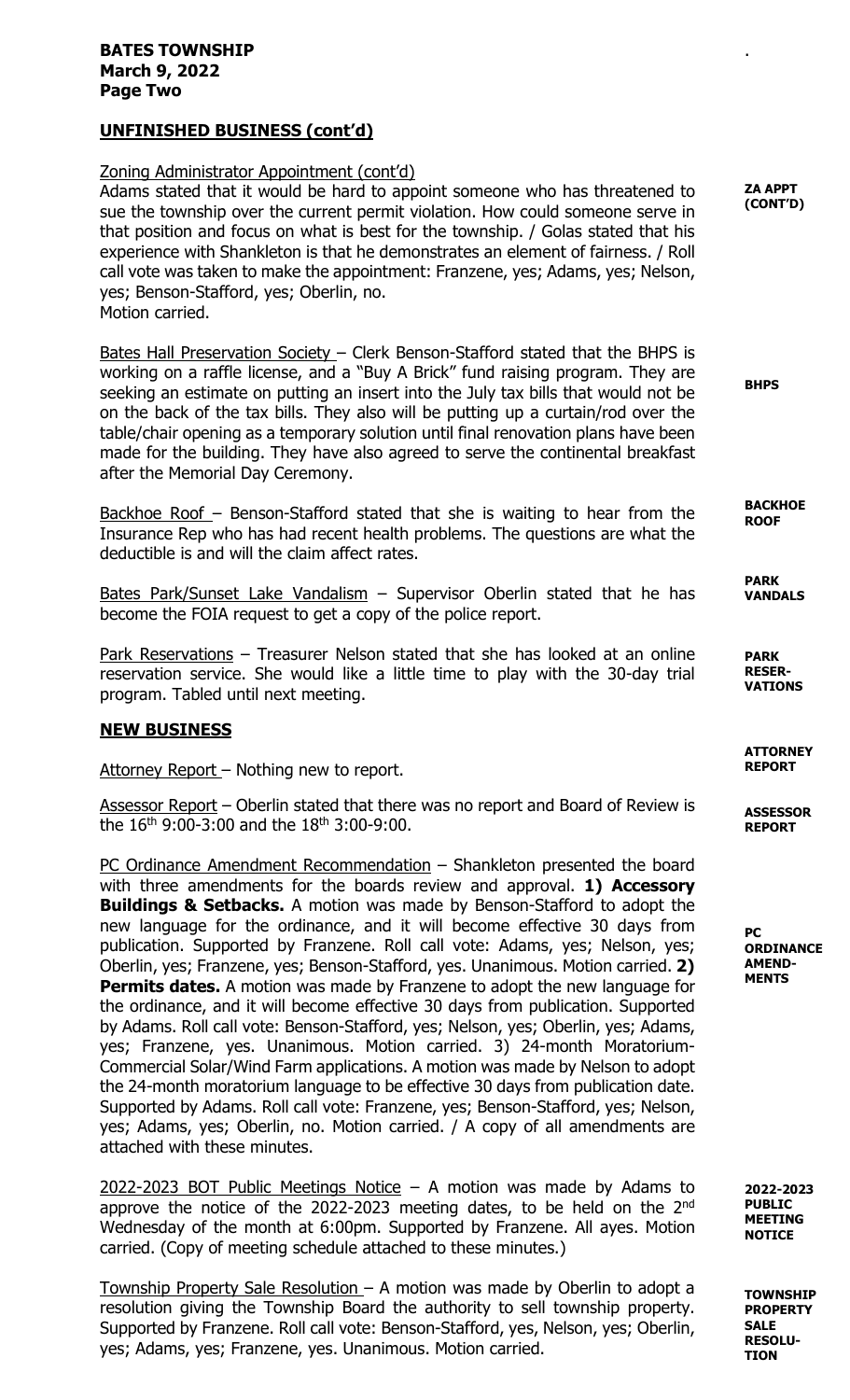### BATES TOWNSHIP March 9, 2022 Page Two

# UNFINISHED BUSINESS (cont'd)

# Zoning Administrator Appointment (cont'd)

Adams stated that it would be hard to appoint someone who has threatened to sue the township over the current permit violation. How could someone serve in that position and focus on what is best for the township. / Golas stated that his experience with Shankleton is that he demonstrates an element of fairness. / Roll call vote was taken to make the appointment: Franzene, yes; Adams, yes; Nelson, yes; Benson-Stafford, yes; Oberlin, no. Motion carried.

Bates Hall Preservation Society – Clerk Benson-Stafford stated that the BHPS is working on a raffle license, and a "Buy A Brick" fund raising program. They are seeking an estimate on putting an insert into the July tax bills that would not be on the back of the tax bills. They also will be putting up a curtain/rod over the table/chair opening as a temporary solution until final renovation plans have been made for the building. They have also agreed to serve the continental breakfast after the Memorial Day Ceremony.

Backhoe Roof - Benson-Stafford stated that she is waiting to hear from the Insurance Rep who has had recent health problems. The questions are what the deductible is and will the claim affect rates.

Bates Park/Sunset Lake Vandalism - Supervisor Oberlin stated that he has become the FOIA request to get a copy of the police report.

Park Reservations – Treasurer Nelson stated that she has looked at an online reservation service. She would like a little time to play with the 30-day trial program. Tabled until next meeting.

# NEW BUSINESS

Attorney Report - Nothing new to report.

Assessor Report – Oberlin stated that there was no report and Board of Review is the  $16^{th}$  9:00-3:00 and the  $18^{th}$  3:00-9:00.

PC Ordinance Amendment Recommendation – Shankleton presented the board with three amendments for the boards review and approval. **1) Accessory Buildings & Setbacks.** A motion was made by Benson-Stafford to adopt the new language for the ordinance, and it will become effective 30 days from publication. Supported by Franzene. Roll call vote: Adams, yes; Nelson, yes; Oberlin, yes; Franzene, yes; Benson-Stafford, yes. Unanimous. Motion carried. 2) Permits dates. A motion was made by Franzene to adopt the new language for the ordinance, and it will become effective 30 days from publication. Supported by Adams. Roll call vote: Benson-Stafford, yes; Nelson, yes; Oberlin, yes; Adams, yes; Franzene, yes. Unanimous. Motion carried. 3) 24-month Moratorium-Commercial Solar/Wind Farm applications. A motion was made by Nelson to adopt the 24-month moratorium language to be effective 30 days from publication date. Supported by Adams. Roll call vote: Franzene, yes; Benson-Stafford, yes; Nelson, yes; Adams, yes; Oberlin, no. Motion carried. / A copy of all amendments are attached with these minutes.

 $2022-2023$  BOT Public Meetings Notice – A motion was made by Adams to approve the notice of the 2022-2023 meeting dates, to be held on the  $2<sup>nd</sup>$ Wednesday of the month at 6:00pm. Supported by Franzene. All ayes. Motion carried. (Copy of meeting schedule attached to these minutes.)

Township Property Sale Resolution – A motion was made by Oberlin to adopt a resolution giving the Township Board the authority to sell township property. Supported by Franzene. Roll call vote: Benson-Stafford, yes, Nelson, yes; Oberlin, yes; Adams, yes; Franzene, yes. Unanimous. Motion carried.

ZA APPT (CONT'D)

.

**RHPS** 

**BACKHOE ROOF** 

PARK VANDALS

PARK RESER-VATIONS

**ATTORNEY** REPORT

**ASSESSOR** REPORT

PC **ORDINANCE** AMEND-**MENTS** 

2022-2023 PUBLIC MEETING **NOTICE** 

**TOWNSHTP** PROPERTY SALE RESOLU-TION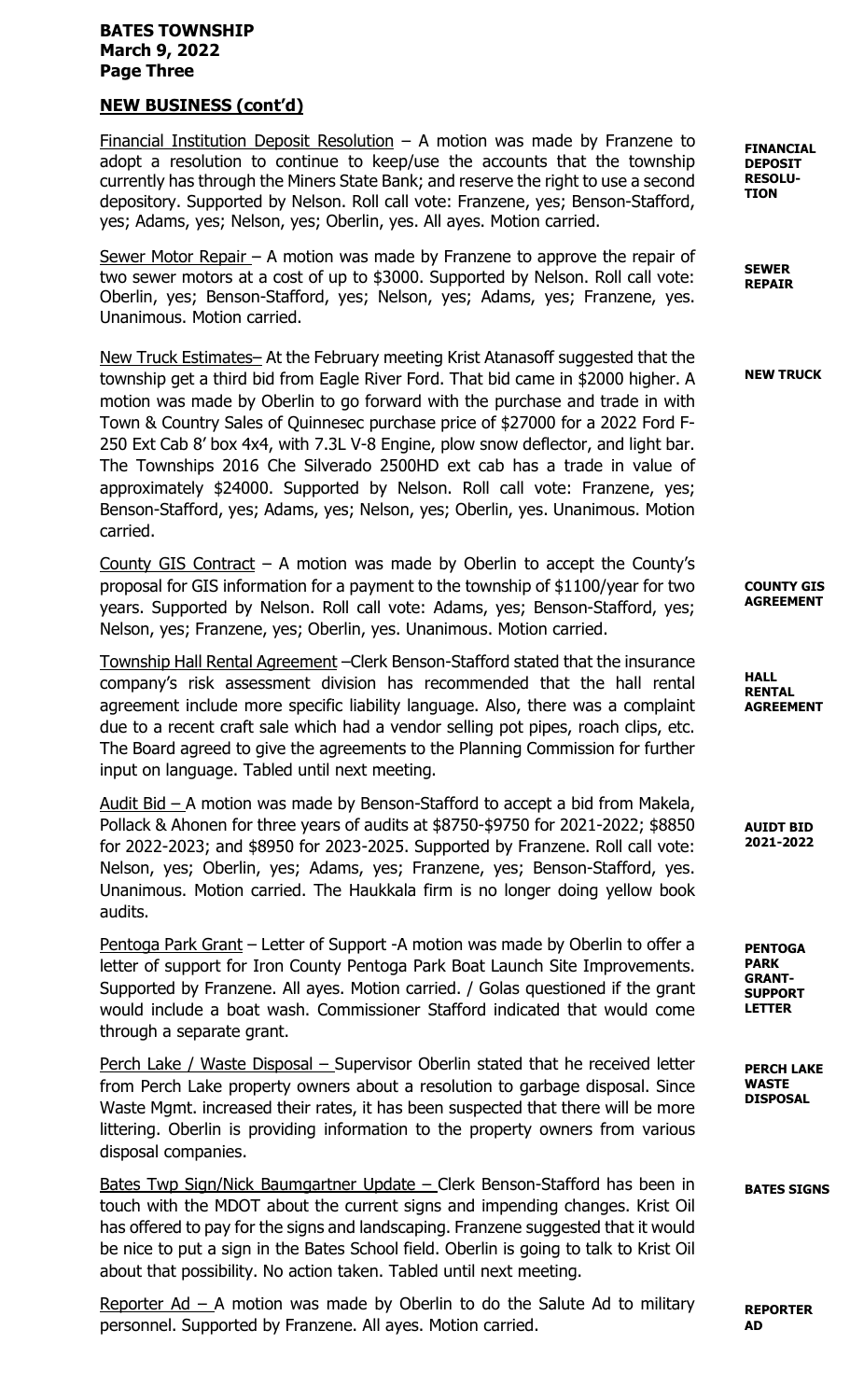## BATES TOWNSHIP March 9, 2022 Page Three

# NEW BUSINESS (cont'd)

Financial Institution Deposit Resolution  $-$  A motion was made by Franzene to adopt a resolution to continue to keep/use the accounts that the township currently has through the Miners State Bank; and reserve the right to use a second depository. Supported by Nelson. Roll call vote: Franzene, yes; Benson-Stafford, yes; Adams, yes; Nelson, yes; Oberlin, yes. All ayes. Motion carried.

Sewer Motor Repair – A motion was made by Franzene to approve the repair of two sewer motors at a cost of up to \$3000. Supported by Nelson. Roll call vote: Oberlin, yes; Benson-Stafford, yes; Nelson, yes; Adams, yes; Franzene, yes. Unanimous. Motion carried.

New Truck Estimates– At the February meeting Krist Atanasoff suggested that the township get a third bid from Eagle River Ford. That bid came in \$2000 higher. A motion was made by Oberlin to go forward with the purchase and trade in with Town & Country Sales of Quinnesec purchase price of \$27000 for a 2022 Ford F-250 Ext Cab 8' box 4x4, with 7.3L V-8 Engine, plow snow deflector, and light bar. The Townships 2016 Che Silverado 2500HD ext cab has a trade in value of approximately \$24000. Supported by Nelson. Roll call vote: Franzene, yes; Benson-Stafford, yes; Adams, yes; Nelson, yes; Oberlin, yes. Unanimous. Motion carried.

County GIS Contract – A motion was made by Oberlin to accept the County's proposal for GIS information for a payment to the township of \$1100/year for two years. Supported by Nelson. Roll call vote: Adams, yes; Benson-Stafford, yes; Nelson, yes; Franzene, yes; Oberlin, yes. Unanimous. Motion carried.

Township Hall Rental Agreement –Clerk Benson-Stafford stated that the insurance company's risk assessment division has recommended that the hall rental agreement include more specific liability language. Also, there was a complaint due to a recent craft sale which had a vendor selling pot pipes, roach clips, etc. The Board agreed to give the agreements to the Planning Commission for further input on language. Tabled until next meeting.

Audit Bid – A motion was made by Benson-Stafford to accept a bid from Makela, Pollack & Ahonen for three years of audits at \$8750-\$9750 for 2021-2022; \$8850 for 2022-2023; and \$8950 for 2023-2025. Supported by Franzene. Roll call vote: Nelson, yes; Oberlin, yes; Adams, yes; Franzene, yes; Benson-Stafford, yes. Unanimous. Motion carried. The Haukkala firm is no longer doing yellow book audits.

Pentoga Park Grant – Letter of Support -A motion was made by Oberlin to offer a letter of support for Iron County Pentoga Park Boat Launch Site Improvements. Supported by Franzene. All ayes. Motion carried. / Golas questioned if the grant would include a boat wash. Commissioner Stafford indicated that would come through a separate grant.

Perch Lake / Waste Disposal – Supervisor Oberlin stated that he received letter from Perch Lake property owners about a resolution to garbage disposal. Since Waste Mgmt. increased their rates, it has been suspected that there will be more littering. Oberlin is providing information to the property owners from various disposal companies.

Bates Twp Sign/Nick Baumgartner Update – Clerk Benson-Stafford has been in touch with the MDOT about the current signs and impending changes. Krist Oil has offered to pay for the signs and landscaping. Franzene suggested that it would be nice to put a sign in the Bates School field. Oberlin is going to talk to Krist Oil about that possibility. No action taken. Tabled until next meeting.

Reporter  $Ad - A$  motion was made by Oberlin to do the Salute Ad to military personnel. Supported by Franzene. All ayes. Motion carried.

FINANCIAL DEPOSIT RESOLU-TION

SEWER REPAIR

NEW TRUCK

COUNTY GIS AGREEMENT

HALL RENTAL AGREEMENT

AUIDT BID 2021-2022

PENTOGA PARK GRANT-SUPPORT LETTER

PERCH LAKE WASTE DISPOSAL

BATES SIGNS